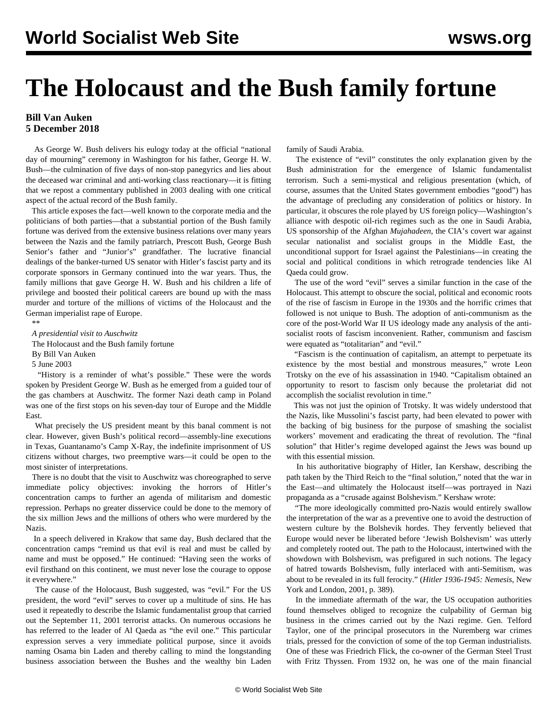## **The Holocaust and the Bush family fortune**

## **Bill Van Auken 5 December 2018**

 As George W. Bush delivers his eulogy today at the official "national day of mourning" ceremony in Washington for his father, George H. W. Bush—the culmination of five days of non-stop panegyrics and lies about the deceased war criminal and anti-working class reactionary—it is fitting that we repost a commentary published in 2003 dealing with one critical aspect of the actual record of the Bush family.

 This article exposes the fact—well known to the corporate media and the politicians of both parties—that a substantial portion of the Bush family fortune was derived from the extensive business relations over many years between the Nazis and the family patriarch, Prescott Bush, George Bush Senior's father and "Junior's" grandfather. The lucrative financial dealings of the banker-turned US senator with Hitler's fascist party and its corporate sponsors in Germany continued into the war years. Thus, the family millions that gave George H. W. Bush and his children a life of privilege and boosted their political careers are bound up with the mass murder and torture of the millions of victims of the Holocaust and the German imperialist rape of Europe.

\*\*

*A presidential visit to Auschwitz*

The Holocaust and the Bush family fortune

By Bill Van Auken

5 June 2003

 "History is a reminder of what's possible." These were the words spoken by President George W. Bush as he emerged from a guided tour of the gas chambers at Auschwitz. The former Nazi death camp in Poland was one of the first stops on his seven-day tour of Europe and the Middle East.

 What precisely the US president meant by this banal comment is not clear. However, given Bush's political record—assembly-line executions in Texas, Guantanamo's Camp X-Ray, the indefinite imprisonment of US citizens without charges, two preemptive wars—it could be open to the most sinister of interpretations.

 There is no doubt that the visit to Auschwitz was choreographed to serve immediate policy objectives: invoking the horrors of Hitler's concentration camps to further an agenda of militarism and domestic repression. Perhaps no greater disservice could be done to the memory of the six million Jews and the millions of others who were murdered by the Nazis.

 In a speech delivered in Krakow that same day, Bush declared that the concentration camps "remind us that evil is real and must be called by name and must be opposed." He continued: "Having seen the works of evil firsthand on this continent, we must never lose the courage to oppose it everywhere."

 The cause of the Holocaust, Bush suggested, was "evil." For the US president, the word "evil" serves to cover up a multitude of sins. He has used it repeatedly to describe the Islamic fundamentalist group that carried out the September 11, 2001 terrorist attacks. On numerous occasions he has referred to the leader of Al Qaeda as "the evil one." This particular expression serves a very immediate political purpose, since it avoids naming Osama bin Laden and thereby calling to mind the longstanding business association between the Bushes and the wealthy bin Laden

family of Saudi Arabia.

 The existence of "evil" constitutes the only explanation given by the Bush administration for the emergence of Islamic fundamentalist terrorism. Such a semi-mystical and religious presentation (which, of course, assumes that the United States government embodies "good") has the advantage of precluding any consideration of politics or history. In particular, it obscures the role played by US foreign policy—Washington's alliance with despotic oil-rich regimes such as the one in Saudi Arabia, US sponsorship of the Afghan *Mujahadeen*, the CIA's covert war against secular nationalist and socialist groups in the Middle East, the unconditional support for Israel against the Palestinians—in creating the social and political conditions in which retrograde tendencies like Al Qaeda could grow.

 The use of the word "evil" serves a similar function in the case of the Holocaust. This attempt to obscure the social, political and economic roots of the rise of fascism in Europe in the 1930s and the horrific crimes that followed is not unique to Bush. The adoption of anti-communism as the core of the post-World War II US ideology made any analysis of the antisocialist roots of fascism inconvenient. Rather, communism and fascism were equated as "totalitarian" and "evil."

 "Fascism is the continuation of capitalism, an attempt to perpetuate its existence by the most bestial and monstrous measures," wrote Leon Trotsky on the eve of his assassination in 1940. "Capitalism obtained an opportunity to resort to fascism only because the proletariat did not accomplish the socialist revolution in time."

 This was not just the opinion of Trotsky. It was widely understood that the Nazis, like Mussolini's fascist party, had been elevated to power with the backing of big business for the purpose of smashing the socialist workers' movement and eradicating the threat of revolution. The "final solution" that Hitler's regime developed against the Jews was bound up with this essential mission.

 In his authoritative biography of Hitler, Ian Kershaw, describing the path taken by the Third Reich to the "final solution," noted that the war in the East—and ultimately the Holocaust itself—was portrayed in Nazi propaganda as a "crusade against Bolshevism." Kershaw wrote:

 "The more ideologically committed pro-Nazis would entirely swallow the interpretation of the war as a preventive one to avoid the destruction of western culture by the Bolshevik hordes. They fervently believed that Europe would never be liberated before 'Jewish Bolshevism' was utterly and completely rooted out. The path to the Holocaust, intertwined with the showdown with Bolshevism, was prefigured in such notions. The legacy of hatred towards Bolshevism, fully interlaced with anti-Semitism, was about to be revealed in its full ferocity." (*Hitler 1936-1945: Nemesis*, New York and London, 2001, p. 389).

 In the immediate aftermath of the war, the US occupation authorities found themselves obliged to recognize the culpability of German big business in the crimes carried out by the Nazi regime. Gen. Telford Taylor, one of the principal prosecutors in the Nuremberg war crimes trials, pressed for the conviction of some of the top German industrialists. One of these was Friedrich Flick, the co-owner of the German Steel Trust with Fritz Thyssen. From 1932 on, he was one of the main financial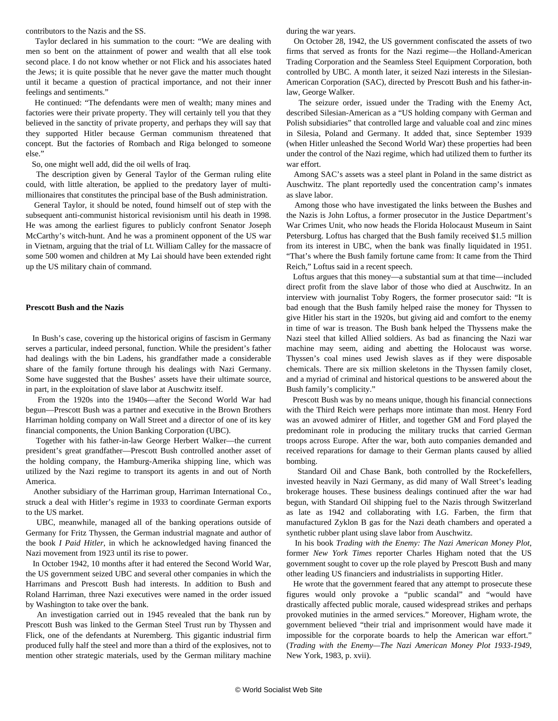contributors to the Nazis and the SS.

 Taylor declared in his summation to the court: "We are dealing with men so bent on the attainment of power and wealth that all else took second place. I do not know whether or not Flick and his associates hated the Jews; it is quite possible that he never gave the matter much thought until it became a question of practical importance, and not their inner feelings and sentiments."

 He continued: "The defendants were men of wealth; many mines and factories were their private property. They will certainly tell you that they believed in the sanctity of private property, and perhaps they will say that they supported Hitler because German communism threatened that concept. But the factories of Rombach and Riga belonged to someone else."

So, one might well add, did the oil wells of Iraq.

 The description given by General Taylor of the German ruling elite could, with little alteration, be applied to the predatory layer of multimillionaires that constitutes the principal base of the Bush administration.

 General Taylor, it should be noted, found himself out of step with the subsequent anti-communist historical revisionism until his death in 1998. He was among the earliest figures to publicly confront Senator Joseph McCarthy's witch-hunt. And he was a prominent opponent of the US war in Vietnam, arguing that the trial of Lt. William Calley for the massacre of some 500 women and children at My Lai should have been extended right up the US military chain of command.

## **Prescott Bush and the Nazis**

 In Bush's case, covering up the historical origins of fascism in Germany serves a particular, indeed personal, function. While the president's father had dealings with the bin Ladens, his grandfather made a considerable share of the family fortune through his dealings with Nazi Germany. Some have suggested that the Bushes' assets have their ultimate source, in part, in the exploitation of slave labor at Auschwitz itself.

 From the 1920s into the 1940s—after the Second World War had begun—Prescott Bush was a partner and executive in the Brown Brothers Harriman holding company on Wall Street and a director of one of its key financial components, the Union Banking Corporation (UBC).

 Together with his father-in-law George Herbert Walker—the current president's great grandfather—Prescott Bush controlled another asset of the holding company, the Hamburg-Amerika shipping line, which was utilized by the Nazi regime to transport its agents in and out of North America.

 Another subsidiary of the Harriman group, Harriman International Co., struck a deal with Hitler's regime in 1933 to coordinate German exports to the US market.

 UBC, meanwhile, managed all of the banking operations outside of Germany for Fritz Thyssen, the German industrial magnate and author of the book *I Paid Hitler*, in which he acknowledged having financed the Nazi movement from 1923 until its rise to power.

 In October 1942, 10 months after it had entered the Second World War, the US government seized UBC and several other companies in which the Harrimans and Prescott Bush had interests. In addition to Bush and Roland Harriman, three Nazi executives were named in the order issued by Washington to take over the bank.

 An investigation carried out in 1945 revealed that the bank run by Prescott Bush was linked to the German Steel Trust run by Thyssen and Flick, one of the defendants at Nuremberg. This gigantic industrial firm produced fully half the steel and more than a third of the explosives, not to mention other strategic materials, used by the German military machine during the war years.

 On October 28, 1942, the US government confiscated the assets of two firms that served as fronts for the Nazi regime—the Holland-American Trading Corporation and the Seamless Steel Equipment Corporation, both controlled by UBC. A month later, it seized Nazi interests in the Silesian-American Corporation (SAC), directed by Prescott Bush and his father-inlaw, George Walker.

 The seizure order, issued under the Trading with the Enemy Act, described Silesian-American as a "US holding company with German and Polish subsidiaries" that controlled large and valuable coal and zinc mines in Silesia, Poland and Germany. It added that, since September 1939 (when Hitler unleashed the Second World War) these properties had been under the control of the Nazi regime, which had utilized them to further its war effort.

 Among SAC's assets was a steel plant in Poland in the same district as Auschwitz. The plant reportedly used the concentration camp's inmates as slave labor.

 Among those who have investigated the links between the Bushes and the Nazis is John Loftus, a former prosecutor in the Justice Department's War Crimes Unit, who now heads the Florida Holocaust Museum in Saint Petersburg. Loftus has charged that the Bush family received \$1.5 million from its interest in UBC, when the bank was finally liquidated in 1951. "That's where the Bush family fortune came from: It came from the Third Reich," Loftus said in a recent speech.

 Loftus argues that this money—a substantial sum at that time—included direct profit from the slave labor of those who died at Auschwitz. In an interview with journalist Toby Rogers, the former prosecutor said: "It is bad enough that the Bush family helped raise the money for Thyssen to give Hitler his start in the 1920s, but giving aid and comfort to the enemy in time of war is treason. The Bush bank helped the Thyssens make the Nazi steel that killed Allied soldiers. As bad as financing the Nazi war machine may seem, aiding and abetting the Holocaust was worse. Thyssen's coal mines used Jewish slaves as if they were disposable chemicals. There are six million skeletons in the Thyssen family closet, and a myriad of criminal and historical questions to be answered about the Bush family's complicity."

 Prescott Bush was by no means unique, though his financial connections with the Third Reich were perhaps more intimate than most. Henry Ford was an avowed admirer of Hitler, and together GM and Ford played the predominant role in producing the military trucks that carried German troops across Europe. After the war, both auto companies demanded and received reparations for damage to their German plants caused by allied bombing.

 Standard Oil and Chase Bank, both controlled by the Rockefellers, invested heavily in Nazi Germany, as did many of Wall Street's leading brokerage houses. These business dealings continued after the war had begun, with Standard Oil shipping fuel to the Nazis through Switzerland as late as 1942 and collaborating with I.G. Farben, the firm that manufactured Zyklon B gas for the Nazi death chambers and operated a synthetic rubber plant using slave labor from Auschwitz.

 In his book *Trading with the Enemy: The Nazi American Money Plot*, former *New York Times* reporter Charles Higham noted that the US government sought to cover up the role played by Prescott Bush and many other leading US financiers and industrialists in supporting Hitler.

 He wrote that the government feared that any attempt to prosecute these figures would only provoke a "public scandal" and "would have drastically affected public morale, caused widespread strikes and perhaps provoked mutinies in the armed services." Moreover, Higham wrote, the government believed "their trial and imprisonment would have made it impossible for the corporate boards to help the American war effort." (*Trading with the Enemy—The Nazi American Money Plot 1933-1949*, New York, 1983, p. xvii).